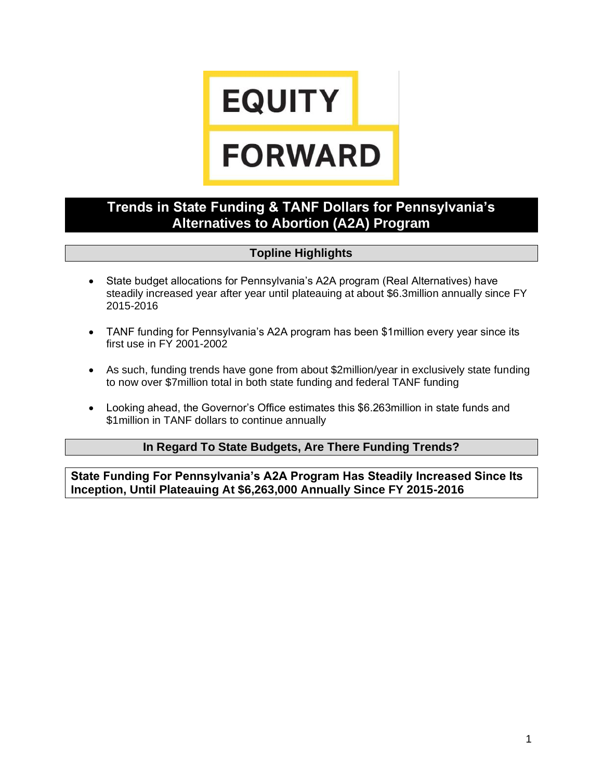# **EQUITY**

# **FORWARD**

## **Trends in State Funding & TANF Dollars for Pennsylvania's Alternatives to Abortion (A2A) Program**

### **Topline Highlights**

- State budget allocations for Pennsylvania's A2A program (Real Alternatives) have steadily increased year after year until plateauing at about \$6.3million annually since FY 2015-2016
- TANF funding for Pennsylvania's A2A program has been \$1 million every year since its first use in FY 2001-2002
- As such, funding trends have gone from about \$2million/year in exclusively state funding to now over \$7million total in both state funding and federal TANF funding
- Looking ahead, the Governor's Office estimates this \$6.263million in state funds and \$1million in TANF dollars to continue annually

#### **In Regard To State Budgets, Are There Funding Trends?**

**State Funding For Pennsylvania's A2A Program Has Steadily Increased Since Its Inception, Until Plateauing At \$6,263,000 Annually Since FY 2015-2016**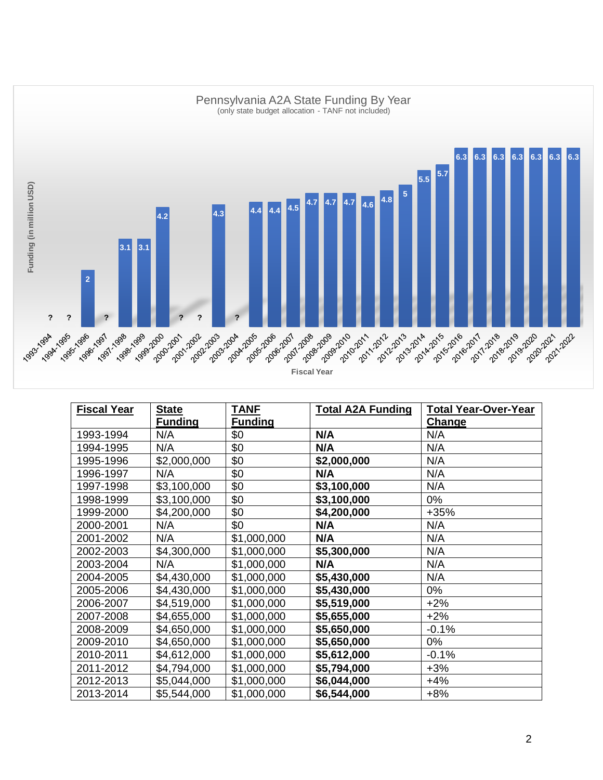

| <b>Fiscal Year</b> | <b>State</b><br><b>Funding</b> | TANF<br><b>Funding</b> | <b>Total A2A Funding</b> | <b>Total Year-Over-Year</b><br><b>Change</b> |
|--------------------|--------------------------------|------------------------|--------------------------|----------------------------------------------|
| 1993-1994          | N/A                            | \$0                    | N/A                      | N/A                                          |
| 1994-1995          | N/A                            | \$0                    | N/A                      | N/A                                          |
| 1995-1996          | \$2,000,000                    | \$0                    | \$2,000,000              | N/A                                          |
| 1996-1997          | N/A                            | \$0                    | N/A                      | N/A                                          |
| 1997-1998          | \$3,100,000                    | \$0                    | \$3,100,000              | N/A                                          |
| 1998-1999          | \$3,100,000                    | \$0                    | \$3,100,000              | 0%                                           |
| 1999-2000          | \$4,200,000                    | \$0                    | \$4,200,000              | $+35%$                                       |
| 2000-2001          | N/A                            | \$0                    | N/A                      | N/A                                          |
| 2001-2002          | N/A                            | \$1,000,000            | N/A                      | N/A                                          |
| 2002-2003          | \$4,300,000                    | \$1,000,000            | \$5,300,000              | N/A                                          |
| 2003-2004          | N/A                            | \$1,000,000            | N/A                      | N/A                                          |
| 2004-2005          | \$4,430,000                    | \$1,000,000            | \$5,430,000              | N/A                                          |
| 2005-2006          | \$4,430,000                    | \$1,000,000            | \$5,430,000              | 0%                                           |
| 2006-2007          | \$4,519,000                    | \$1,000,000            | \$5,519,000              | $+2%$                                        |
| 2007-2008          | \$4,655,000                    | \$1,000,000            | \$5,655,000              | $+2%$                                        |
| 2008-2009          | \$4,650,000                    | \$1,000,000            | \$5,650,000              | $-0.1%$                                      |
| 2009-2010          | \$4,650,000                    | \$1,000,000            | \$5,650,000              | 0%                                           |
| 2010-2011          | \$4,612,000                    | \$1,000,000            | \$5,612,000              | $-0.1%$                                      |
| 2011-2012          | \$4,794,000                    | \$1,000,000            | \$5,794,000              | $+3%$                                        |
| 2012-2013          | \$5,044,000                    | \$1,000,000            | \$6,044,000              | $+4%$                                        |
| 2013-2014          | \$5,544,000                    | \$1,000,000            | \$6,544,000              | $+8%$                                        |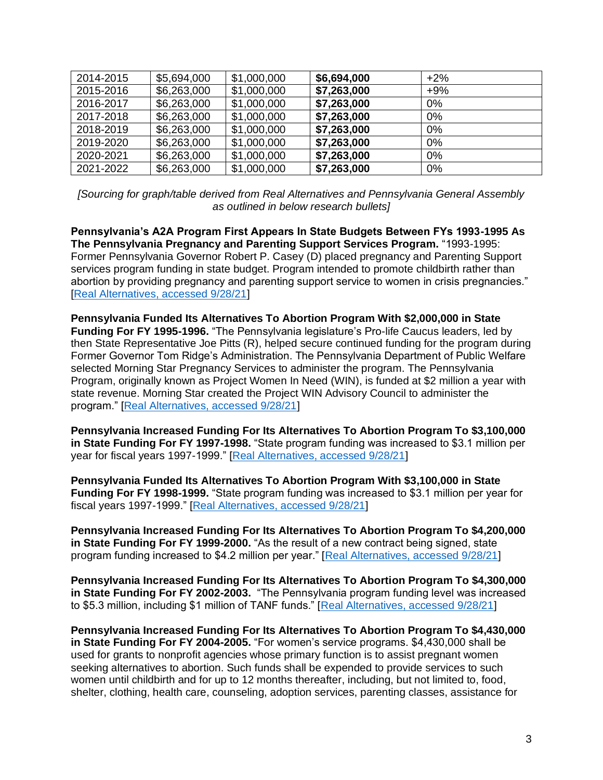| 2014-2015 | \$5,694,000 | \$1,000,000 | \$6,694,000 | $+2%$ |  |
|-----------|-------------|-------------|-------------|-------|--|
| 2015-2016 | \$6,263,000 | \$1,000,000 | \$7,263,000 | $+9%$ |  |
| 2016-2017 | \$6,263,000 | \$1,000,000 | \$7,263,000 | $0\%$ |  |
| 2017-2018 | \$6,263,000 | \$1,000,000 | \$7,263,000 | $0\%$ |  |
| 2018-2019 | \$6,263,000 | \$1,000,000 | \$7,263,000 | $0\%$ |  |
| 2019-2020 | \$6,263,000 | \$1,000,000 | \$7,263,000 | $0\%$ |  |
| 2020-2021 | \$6,263,000 | \$1,000,000 | \$7,263,000 | 0%    |  |
| 2021-2022 | \$6,263,000 | \$1,000,000 | \$7,263,000 | 0%    |  |

*[Sourcing for graph/table derived from Real Alternatives and Pennsylvania General Assembly as outlined in below research bullets]*

**Pennsylvania's A2A Program First Appears In State Budgets Between FYs 1993-1995 As The Pennsylvania Pregnancy and Parenting Support Services Program.** "1993-1995: Former Pennsylvania Governor Robert P. Casey (D) placed pregnancy and Parenting Support services program funding in state budget. Program intended to promote childbirth rather than abortion by providing pregnancy and parenting support service to women in crisis pregnancies." [\[Real Alternatives, accessed 9/28/21\]](https://www.realalternatives.org/https-wp-content-uploads-2019-06-history-2019-pdfhistory/)

**Pennsylvania Funded Its Alternatives To Abortion Program With \$2,000,000 in State Funding For FY 1995-1996.** "The Pennsylvania legislature's Pro-life Caucus leaders, led by then State Representative Joe Pitts (R), helped secure continued funding for the program during Former Governor Tom Ridge's Administration. The Pennsylvania Department of Public Welfare selected Morning Star Pregnancy Services to administer the program. The Pennsylvania Program, originally known as Project Women In Need (WIN), is funded at \$2 million a year with state revenue. Morning Star created the Project WIN Advisory Council to administer the program." [\[Real Alternatives, accessed 9/28/21\]](https://www.realalternatives.org/https-wp-content-uploads-2019-06-history-2019-pdfhistory/)

**Pennsylvania Increased Funding For Its Alternatives To Abortion Program To \$3,100,000 in State Funding For FY 1997-1998.** "State program funding was increased to \$3.1 million per year for fiscal years 1997-1999." [\[Real Alternatives, accessed 9/28/21\]](https://www.realalternatives.org/https-wp-content-uploads-2019-06-history-2019-pdfhistory/)

**Pennsylvania Funded Its Alternatives To Abortion Program With \$3,100,000 in State Funding For FY 1998-1999.** "State program funding was increased to \$3.1 million per year for fiscal years 1997-1999." [\[Real Alternatives, accessed 9/28/21\]](https://www.realalternatives.org/https-wp-content-uploads-2019-06-history-2019-pdfhistory/)

**Pennsylvania Increased Funding For Its Alternatives To Abortion Program To \$4,200,000 in State Funding For FY 1999-2000.** "As the result of a new contract being signed, state program funding increased to \$4.2 million per year." [\[Real Alternatives, accessed 9/28/21\]](https://www.realalternatives.org/https-wp-content-uploads-2019-06-history-2019-pdfhistory/)

**Pennsylvania Increased Funding For Its Alternatives To Abortion Program To \$4,300,000 in State Funding For FY 2002-2003.** "The Pennsylvania program funding level was increased to \$5.3 million, including \$1 million of TANF funds." [\[Real Alternatives, accessed 9/28/21\]](https://www.realalternatives.org/https-wp-content-uploads-2019-06-history-2019-pdfhistory/)

**Pennsylvania Increased Funding For Its Alternatives To Abortion Program To \$4,430,000 in State Funding For FY 2004-2005.** "For women's service programs. \$4,430,000 shall be used for grants to nonprofit agencies whose primary function is to assist pregnant women seeking alternatives to abortion. Such funds shall be expended to provide services to such women until childbirth and for up to 12 months thereafter, including, but not limited to, food, shelter, clothing, health care, counseling, adoption services, parenting classes, assistance for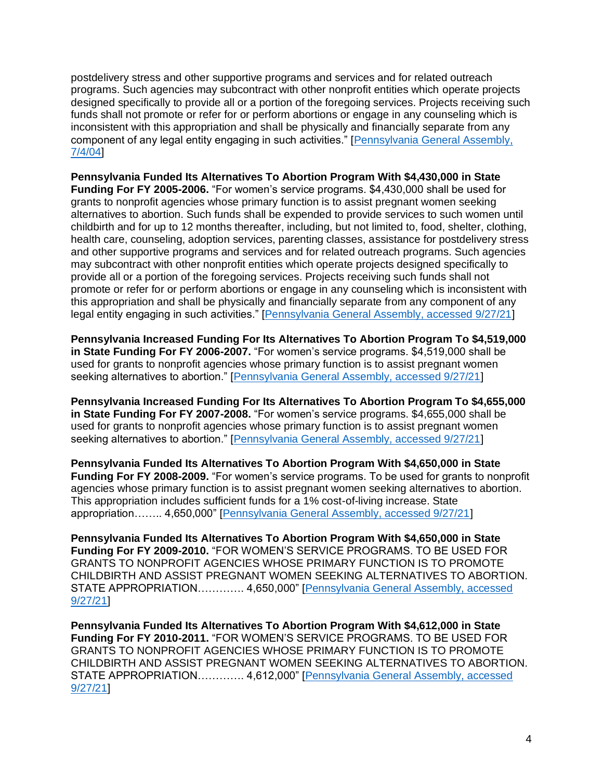postdelivery stress and other supportive programs and services and for related outreach programs. Such agencies may subcontract with other nonprofit entities which operate projects designed specifically to provide all or a portion of the foregoing services. Projects receiving such funds shall not promote or refer for or perform abortions or engage in any counseling which is inconsistent with this appropriation and shall be physically and financially separate from any component of any legal entity engaging in such activities." [\[Pennsylvania General Assembly,](https://www.budget.pa.gov/Publications%20and%20Reports/Documents/HB2579P4326.pdf)  [7/4/04\]](https://www.budget.pa.gov/Publications%20and%20Reports/Documents/HB2579P4326.pdf)

**Pennsylvania Funded Its Alternatives To Abortion Program With \$4,430,000 in State Funding For FY 2005-2006.** "For women's service programs. \$4,430,000 shall be used for grants to nonprofit agencies whose primary function is to assist pregnant women seeking alternatives to abortion. Such funds shall be expended to provide services to such women until childbirth and for up to 12 months thereafter, including, but not limited to, food, shelter, clothing, health care, counseling, adoption services, parenting classes, assistance for postdelivery stress and other supportive programs and services and for related outreach programs. Such agencies may subcontract with other nonprofit entities which operate projects designed specifically to provide all or a portion of the foregoing services. Projects receiving such funds shall not promote or refer for or perform abortions or engage in any counseling which is inconsistent with this appropriation and shall be physically and financially separate from any component of any legal entity engaging in such activities." [\[Pennsylvania General Assembly, accessed 9/27/21\]](https://www.budget.pa.gov/Publications%20and%20Reports/Documents/enacted_budget.pdf)

**Pennsylvania Increased Funding For Its Alternatives To Abortion Program To \$4,519,000 in State Funding For FY 2006-2007.** "For women's service programs. \$4,519,000 shall be used for grants to nonprofit agencies whose primary function is to assist pregnant women seeking alternatives to abortion." [\[Pennsylvania General Assembly, accessed 9/27/21\]](https://www.budget.pa.gov/Publications%20and%20Reports/Documents/hb2499p4513.pdf)

**Pennsylvania Increased Funding For Its Alternatives To Abortion Program To \$4,655,000 in State Funding For FY 2007-2008.** "For women's service programs. \$4,655,000 shall be used for grants to nonprofit agencies whose primary function is to assist pregnant women seeking alternatives to abortion." [\[Pennsylvania General Assembly, accessed 9/27/21\]](https://www.budget.pa.gov/Publications%20and%20Reports/Documents/btCheck.pdf)

**Pennsylvania Funded Its Alternatives To Abortion Program With \$4,650,000 in State Funding For FY 2008-2009.** "For women's service programs. To be used for grants to nonprofit agencies whose primary function is to assist pregnant women seeking alternatives to abortion. This appropriation includes sufficient funds for a 1% cost-of-living increase. State appropriation…….. 4,650,000" [\[Pennsylvania General Assembly, accessed 9/27/21\]](https://www.budget.pa.gov/Publications%20and%20Reports/Documents/HB1389_PN2305.pdf)

**Pennsylvania Funded Its Alternatives To Abortion Program With \$4,650,000 in State Funding For FY 2009-2010.** "FOR WOMEN'S SERVICE PROGRAMS. TO BE USED FOR GRANTS TO NONPROFIT AGENCIES WHOSE PRIMARY FUNCTION IS TO PROMOTE CHILDBIRTH AND ASSIST PREGNANT WOMEN SEEKING ALTERNATIVES TO ABORTION. STATE APPROPRIATION…………. 4,650,000" [\[Pennsylvania General Assembly, accessed](https://www.legis.state.pa.us/CFDOCS/Legis/PN/Public/btCheck.cfm?txtType=PDF&sessYr=2009&sessInd=0&billBody=H&billTyp=B&billNbr=1416&pn=2772)  [9/27/21\]](https://www.legis.state.pa.us/CFDOCS/Legis/PN/Public/btCheck.cfm?txtType=PDF&sessYr=2009&sessInd=0&billBody=H&billTyp=B&billNbr=1416&pn=2772)

**Pennsylvania Funded Its Alternatives To Abortion Program With \$4,612,000 in State Funding For FY 2010-2011.** "FOR WOMEN'S SERVICE PROGRAMS. TO BE USED FOR GRANTS TO NONPROFIT AGENCIES WHOSE PRIMARY FUNCTION IS TO PROMOTE CHILDBIRTH AND ASSIST PREGNANT WOMEN SEEKING ALTERNATIVES TO ABORTION. STATE APPROPRIATION…………. 4,612,000" [\[Pennsylvania General Assembly, accessed](https://www.legis.state.pa.us/cfdocs/legis/PN/Public/btCheck.cfm?txtType=HTM&sessYr=2009&sessInd=0&billBody=H&billTyp=B&billNbr=2279&pn=4032)  [9/27/21\]](https://www.legis.state.pa.us/cfdocs/legis/PN/Public/btCheck.cfm?txtType=HTM&sessYr=2009&sessInd=0&billBody=H&billTyp=B&billNbr=2279&pn=4032)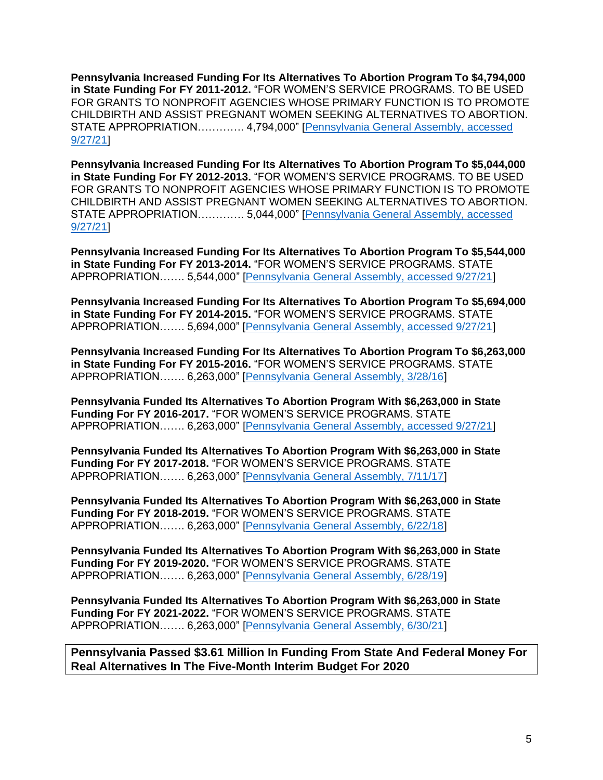**Pennsylvania Increased Funding For Its Alternatives To Abortion Program To \$4,794,000 in State Funding For FY 2011-2012.** "FOR WOMEN'S SERVICE PROGRAMS. TO BE USED FOR GRANTS TO NONPROFIT AGENCIES WHOSE PRIMARY FUNCTION IS TO PROMOTE CHILDBIRTH AND ASSIST PREGNANT WOMEN SEEKING ALTERNATIVES TO ABORTION. STATE APPROPRIATION…………. 4,794,000" [\[Pennsylvania General Assembly, accessed](https://www.legis.state.pa.us/CFDOCS/Legis/PN/Public/btCheck.cfm?txtType=PDF&sessYr=2011&sessInd=0&billBody=H&billTyp=B&billNbr=1485&pn=2228)  [9/27/21\]](https://www.legis.state.pa.us/CFDOCS/Legis/PN/Public/btCheck.cfm?txtType=PDF&sessYr=2011&sessInd=0&billBody=H&billTyp=B&billNbr=1485&pn=2228)

**Pennsylvania Increased Funding For Its Alternatives To Abortion Program To \$5,044,000 in State Funding For FY 2012-2013.** "FOR WOMEN'S SERVICE PROGRAMS. TO BE USED FOR GRANTS TO NONPROFIT AGENCIES WHOSE PRIMARY FUNCTION IS TO PROMOTE CHILDBIRTH AND ASSIST PREGNANT WOMEN SEEKING ALTERNATIVES TO ABORTION. STATE APPROPRIATION…………. 5,044,000" [\[Pennsylvania General Assembly, accessed](https://www.legis.state.pa.us/CFDOCS/Legis/PN/Public/btCheck.cfm?txtType=PDF&sessYr=2011&sessInd=0&billBody=S&billTyp=B&billNbr=1466&pn=2335)  [9/27/21\]](https://www.legis.state.pa.us/CFDOCS/Legis/PN/Public/btCheck.cfm?txtType=PDF&sessYr=2011&sessInd=0&billBody=S&billTyp=B&billNbr=1466&pn=2335)

**Pennsylvania Increased Funding For Its Alternatives To Abortion Program To \$5,544,000 in State Funding For FY 2013-2014.** "FOR WOMEN'S SERVICE PROGRAMS. STATE APPROPRIATION……. 5,544,000" [\[Pennsylvania General Assembly, accessed 9/27/21\]](https://www.legis.state.pa.us/cfdocs/legis/PN/Public/btCheck.cfm?txtType=PDF&sessYr=2013&sessInd=0&billBody=H&billTyp=B&billNbr=1437&pn=2198)

**Pennsylvania Increased Funding For Its Alternatives To Abortion Program To \$5,694,000 in State Funding For FY 2014-2015.** "FOR WOMEN'S SERVICE PROGRAMS. STATE APPROPRIATION……. 5,694,000" [\[Pennsylvania General Assembly, accessed 9/27/21\]](https://www.legis.state.pa.us/CFDOCS/Legis/PN/Public/btCheck.cfm?txtType=PDF&sessYr=2013&sessInd=0&billBody=H&billTyp=B&billNbr=2328&pn=3895)

**Pennsylvania Increased Funding For Its Alternatives To Abortion Program To \$6,263,000 in State Funding For FY 2015-2016.** "FOR WOMEN'S SERVICE PROGRAMS. STATE APPROPRIATION……. 6,263,000" [\[Pennsylvania General Assembly, 3/28/16\]](https://www.legis.state.pa.us/CFDOCS/Legis/PN/Public/btCheck.cfm?txtType=PDF&sessYr=2015&sessInd=0&billBody=H&billTyp=B&billNbr=1460&pn=2626)

**Pennsylvania Funded Its Alternatives To Abortion Program With \$6,263,000 in State Funding For FY 2016-2017.** "FOR WOMEN'S SERVICE PROGRAMS. STATE APPROPRIATION……. 6,263,000" [\[Pennsylvania General Assembly, accessed 9/27/21\]](https://www.legis.state.pa.us/cfdocs/legis/PN/Public/btCheck.cfm?txtType=PDF&sessYr=2015&sessInd=0&billBody=S&billTyp=B&billNbr=1073&pn=2009)

**Pennsylvania Funded Its Alternatives To Abortion Program With \$6,263,000 in State Funding For FY 2017-2018.** "FOR WOMEN'S SERVICE PROGRAMS. STATE APPROPRIATION……. 6,263,000" [\[Pennsylvania General Assembly, 7/11/17\]](https://www.legis.state.pa.us/CFDOCS/Legis/PN/Public/btCheck.cfm?txtType=PDF&sessYr=2017&sessInd=0&billBody=H&billTyp=B&billNbr=0218&pn=2196)

**Pennsylvania Funded Its Alternatives To Abortion Program With \$6,263,000 in State Funding For FY 2018-2019.** "FOR WOMEN'S SERVICE PROGRAMS. STATE APPROPRIATION……. 6,263,000" [\[Pennsylvania General Assembly, 6/22/18\]](https://www.legis.state.pa.us/CFDOCS/Legis/PN/Public/btCheck.cfm?txtType=PDF&sessYr=2017&sessInd=0&billBody=H&billTyp=B&billNbr=2121&pn=3747)

**Pennsylvania Funded Its Alternatives To Abortion Program With \$6,263,000 in State Funding For FY 2019-2020.** "FOR WOMEN'S SERVICE PROGRAMS. STATE APPROPRIATION……. 6,263,000" [\[Pennsylvania General Assembly, 6/28/19\]](https://www.legis.state.pa.us/CFDOCS/Legis/PN/Public/btCheck.cfm?txtType=PDF&sessYr=2019&sessInd=0&billBody=H&billTyp=B&billNbr=0790&pn=2215)

**Pennsylvania Funded Its Alternatives To Abortion Program With \$6,263,000 in State Funding For FY 2021-2022.** "FOR WOMEN'S SERVICE PROGRAMS. STATE APPROPRIATION……. 6,263,000" [\[Pennsylvania General Assembly, 6/30/21\]](https://www.legis.state.pa.us/cfdocs/billInfo/billInfo.cfm?sYear=2021&sInd=0&body=S&type=B&bn=0255)

**Pennsylvania Passed \$3.61 Million In Funding From State And Federal Money For Real Alternatives In The Five-Month Interim Budget For 2020**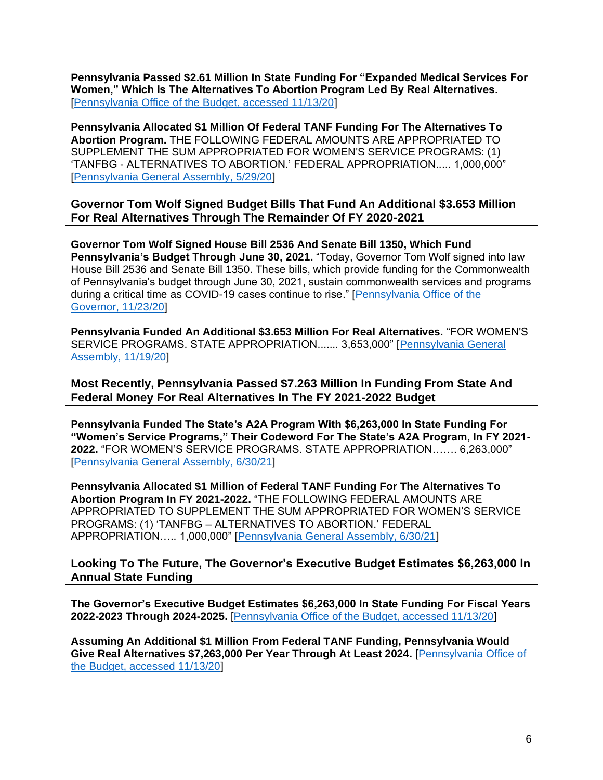**Pennsylvania Passed \$2.61 Million In State Funding For "Expanded Medical Services For Women," Which Is The Alternatives To Abortion Program Led By Real Alternatives.** [\[Pennsylvania Office of the Budget, accessed 11/13/20\]](https://www.budget.pa.gov/PublicationsAndReports/CommonwealthBudget/Documents/2020-21%20Enacted%20Budget/2020-21%20Interim%20Web%20Track.pdf)

**Pennsylvania Allocated \$1 Million Of Federal TANF Funding For The Alternatives To Abortion Program.** THE FOLLOWING FEDERAL AMOUNTS ARE APPROPRIATED TO SUPPLEMENT THE SUM APPROPRIATED FOR WOMEN'S SERVICE PROGRAMS: (1) 'TANFBG - ALTERNATIVES TO ABORTION.' FEDERAL APPROPRIATION..... 1,000,000" [\[Pennsylvania General Assembly, 5/29/20\]](https://www.legis.state.pa.us/cfdocs/legis/li/uconsCheck.cfm?yr=2020&sessInd=0&act=1A)

**Governor Tom Wolf Signed Budget Bills That Fund An Additional \$3.653 Million For Real Alternatives Through The Remainder Of FY 2020-2021**

**Governor Tom Wolf Signed House Bill 2536 And Senate Bill 1350, Which Fund Pennsylvania's Budget Through June 30, 2021.** "Today, Governor Tom Wolf signed into law House Bill 2536 and Senate Bill 1350. These bills, which provide funding for the Commonwealth of Pennsylvania's budget through June 30, 2021, sustain commonwealth services and programs during a critical time as COVID-19 cases continue to rise." [\[Pennsylvania Office of the](https://www.governor.pa.gov/newsroom/gov-wolf-signs-budget-bills/)  [Governor, 11/23/20\]](https://www.governor.pa.gov/newsroom/gov-wolf-signs-budget-bills/)

**Pennsylvania Funded An Additional \$3.653 Million For Real Alternatives.** "FOR WOMEN'S SERVICE PROGRAMS. STATE APPROPRIATION....... 3,653,000" [\[Pennsylvania General](https://www.legis.state.pa.us/CFDOCS/Legis/PN/Public/btCheck.cfm?txtType=PDF&sessYr=2019&sessInd=0&billBody=S&billTyp=B&billNbr=1350&pn=2129)  [Assembly, 11/19/20\]](https://www.legis.state.pa.us/CFDOCS/Legis/PN/Public/btCheck.cfm?txtType=PDF&sessYr=2019&sessInd=0&billBody=S&billTyp=B&billNbr=1350&pn=2129)

**Most Recently, Pennsylvania Passed \$7.263 Million In Funding From State And Federal Money For Real Alternatives In The FY 2021-2022 Budget**

**Pennsylvania Funded The State's A2A Program With \$6,263,000 In State Funding For "Women's Service Programs," Their Codeword For The State's A2A Program, In FY 2021- 2022.** "FOR WOMEN'S SERVICE PROGRAMS. STATE APPROPRIATION……. 6,263,000" [\[Pennsylvania General Assembly, 6/30/21\]](https://www.legis.state.pa.us/cfdocs/billInfo/billInfo.cfm?sYear=2021&sInd=0&body=S&type=B&bn=0255)

**Pennsylvania Allocated \$1 Million of Federal TANF Funding For The Alternatives To Abortion Program In FY 2021-2022.** "THE FOLLOWING FEDERAL AMOUNTS ARE APPROPRIATED TO SUPPLEMENT THE SUM APPROPRIATED FOR WOMEN'S SERVICE PROGRAMS: (1) 'TANFBG – ALTERNATIVES TO ABORTION.' FEDERAL APPROPRIATION….. 1,000,000" [\[Pennsylvania General Assembly, 6/30/21\]](https://www.legis.state.pa.us/cfdocs/billInfo/billInfo.cfm?sYear=2021&sInd=0&body=S&type=B&bn=0255)

**Looking To The Future, The Governor's Executive Budget Estimates \$6,263,000 In Annual State Funding**

**The Governor's Executive Budget Estimates \$6,263,000 In State Funding For Fiscal Years 2022-2023 Through 2024-2025.** [\[Pennsylvania Office of the Budget, accessed 11/13/20\]](http://budgetfiles.pa.gov/budget2020/DetailReports/Agency/program/dhsprogram.html)

**Assuming An Additional \$1 Million From Federal TANF Funding, Pennsylvania Would Give Real Alternatives \$7,263,000 Per Year Through At Least 2024.** [\[Pennsylvania Office of](http://budgetfiles.pa.gov/budget2020/DetailReports/Agency/program/dhsprogram.html)  [the Budget, accessed 11/13/20\]](http://budgetfiles.pa.gov/budget2020/DetailReports/Agency/program/dhsprogram.html)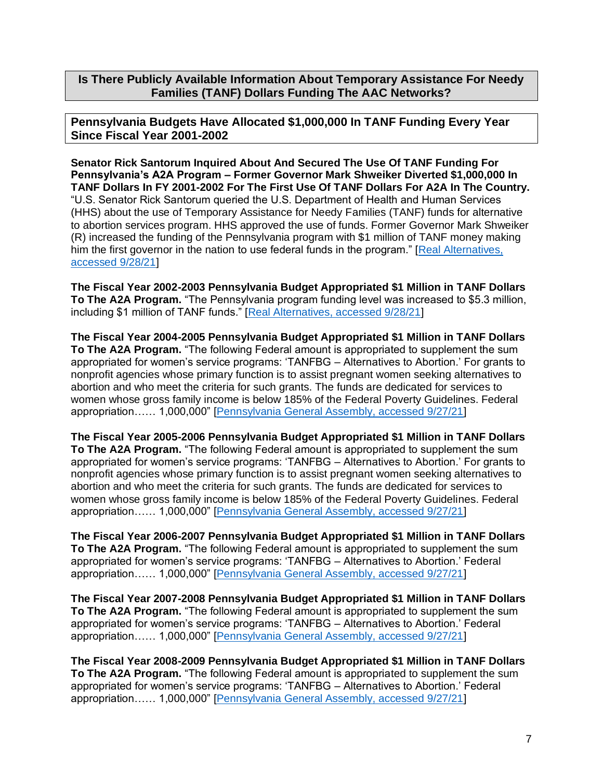**Is There Publicly Available Information About Temporary Assistance For Needy Families (TANF) Dollars Funding The AAC Networks?**

**Pennsylvania Budgets Have Allocated \$1,000,000 In TANF Funding Every Year Since Fiscal Year 2001-2002**

**Senator Rick Santorum Inquired About And Secured The Use Of TANF Funding For Pennsylvania's A2A Program – Former Governor Mark Shweiker Diverted \$1,000,000 In TANF Dollars In FY 2001-2002 For The First Use Of TANF Dollars For A2A In The Country.** "U.S. Senator Rick Santorum queried the U.S. Department of Health and Human Services (HHS) about the use of Temporary Assistance for Needy Families (TANF) funds for alternative to abortion services program. HHS approved the use of funds. Former Governor Mark Shweiker (R) increased the funding of the Pennsylvania program with \$1 million of TANF money making him the first governor in the nation to use federal funds in the program." [\[Real Alternatives,](https://www.realalternatives.org/https-wp-content-uploads-2019-06-history-2019-pdfhistory/)  [accessed 9/28/21\]](https://www.realalternatives.org/https-wp-content-uploads-2019-06-history-2019-pdfhistory/)

**The Fiscal Year 2002-2003 Pennsylvania Budget Appropriated \$1 Million in TANF Dollars To The A2A Program.** "The Pennsylvania program funding level was increased to \$5.3 million, including \$1 million of TANF funds." [\[Real Alternatives, accessed 9/28/21\]](https://www.realalternatives.org/https-wp-content-uploads-2019-06-history-2019-pdfhistory/)

**The Fiscal Year 2004-2005 Pennsylvania Budget Appropriated \$1 Million in TANF Dollars To The A2A Program.** "The following Federal amount is appropriated to supplement the sum appropriated for women's service programs: 'TANFBG – Alternatives to Abortion.' For grants to nonprofit agencies whose primary function is to assist pregnant women seeking alternatives to abortion and who meet the criteria for such grants. The funds are dedicated for services to women whose gross family income is below 185% of the Federal Poverty Guidelines. Federal appropriation…… 1,000,000" [\[Pennsylvania General Assembly, accessed 9/27/21\]](https://www.budget.pa.gov/Publications%20and%20Reports/Documents/HB2579P4326.pdf)

**The Fiscal Year 2005-2006 Pennsylvania Budget Appropriated \$1 Million in TANF Dollars To The A2A Program.** "The following Federal amount is appropriated to supplement the sum appropriated for women's service programs: 'TANFBG – Alternatives to Abortion.' For grants to nonprofit agencies whose primary function is to assist pregnant women seeking alternatives to abortion and who meet the criteria for such grants. The funds are dedicated for services to women whose gross family income is below 185% of the Federal Poverty Guidelines. Federal appropriation…… 1,000,000" [\[Pennsylvania General Assembly, accessed 9/27/21\]](https://www.budget.pa.gov/Publications%20and%20Reports/Documents/enacted_budget.pdf)

**The Fiscal Year 2006-2007 Pennsylvania Budget Appropriated \$1 Million in TANF Dollars To The A2A Program.** "The following Federal amount is appropriated to supplement the sum appropriated for women's service programs: 'TANFBG – Alternatives to Abortion.' Federal appropriation…… 1,000,000" [\[Pennsylvania General Assembly, accessed 9/27/21\]](https://www.budget.pa.gov/Publications%20and%20Reports/Documents/hb2499p4513.pdf)

**The Fiscal Year 2007-2008 Pennsylvania Budget Appropriated \$1 Million in TANF Dollars To The A2A Program.** "The following Federal amount is appropriated to supplement the sum appropriated for women's service programs: 'TANFBG – Alternatives to Abortion.' Federal appropriation…… 1,000,000" [\[Pennsylvania General Assembly, accessed 9/27/21\]](https://www.budget.pa.gov/Publications%20and%20Reports/Documents/HB1389_PN2305.pdf)

**The Fiscal Year 2008-2009 Pennsylvania Budget Appropriated \$1 Million in TANF Dollars To The A2A Program.** "The following Federal amount is appropriated to supplement the sum appropriated for women's service programs: 'TANFBG – Alternatives to Abortion.' Federal appropriation…… 1,000,000" [\[Pennsylvania General Assembly, accessed 9/27/21\]](https://www.budget.pa.gov/Publications%20and%20Reports/Documents/HB1389_PN2305.pdf)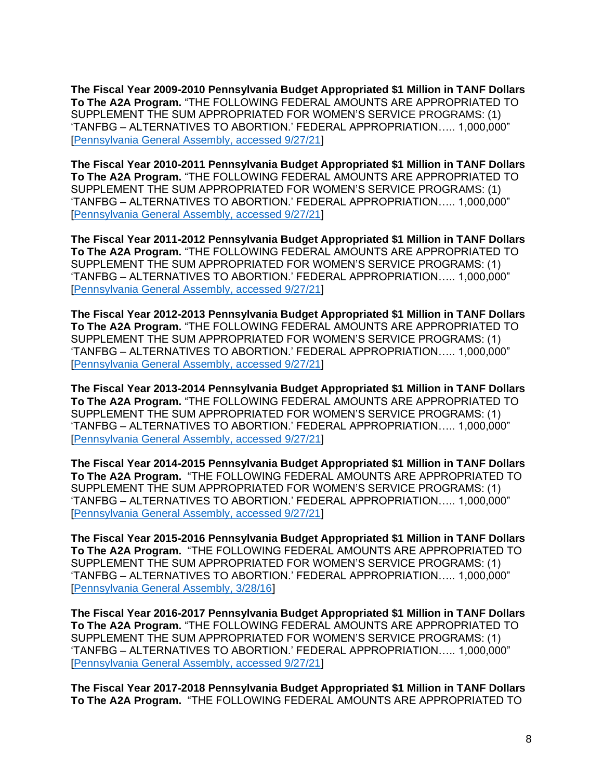**The Fiscal Year 2009-2010 Pennsylvania Budget Appropriated \$1 Million in TANF Dollars To The A2A Program.** "THE FOLLOWING FEDERAL AMOUNTS ARE APPROPRIATED TO SUPPLEMENT THE SUM APPROPRIATED FOR WOMEN'S SERVICE PROGRAMS: (1) 'TANFBG – ALTERNATIVES TO ABORTION.' FEDERAL APPROPRIATION….. 1,000,000" [\[Pennsylvania General Assembly, accessed 9/27/21\]](https://www.legis.state.pa.us/CFDOCS/Legis/PN/Public/btCheck.cfm?txtType=PDF&sessYr=2009&sessInd=0&billBody=H&billTyp=B&billNbr=1416&pn=2772)

**The Fiscal Year 2010-2011 Pennsylvania Budget Appropriated \$1 Million in TANF Dollars To The A2A Program.** "THE FOLLOWING FEDERAL AMOUNTS ARE APPROPRIATED TO SUPPLEMENT THE SUM APPROPRIATED FOR WOMEN'S SERVICE PROGRAMS: (1) 'TANFBG – ALTERNATIVES TO ABORTION.' FEDERAL APPROPRIATION….. 1,000,000" [\[Pennsylvania General Assembly, accessed 9/27/21\]](https://www.legis.state.pa.us/cfdocs/legis/PN/Public/btCheck.cfm?txtType=HTM&sessYr=2009&sessInd=0&billBody=H&billTyp=B&billNbr=2279&pn=4032)

**The Fiscal Year 2011-2012 Pennsylvania Budget Appropriated \$1 Million in TANF Dollars To The A2A Program.** "THE FOLLOWING FEDERAL AMOUNTS ARE APPROPRIATED TO SUPPLEMENT THE SUM APPROPRIATED FOR WOMEN'S SERVICE PROGRAMS: (1) 'TANFBG – ALTERNATIVES TO ABORTION.' FEDERAL APPROPRIATION….. 1,000,000" [\[Pennsylvania General Assembly, accessed 9/27/21\]](https://www.legis.state.pa.us/CFDOCS/Legis/PN/Public/btCheck.cfm?txtType=PDF&sessYr=2011&sessInd=0&billBody=H&billTyp=B&billNbr=1485&pn=2228)

**The Fiscal Year 2012-2013 Pennsylvania Budget Appropriated \$1 Million in TANF Dollars To The A2A Program.** "THE FOLLOWING FEDERAL AMOUNTS ARE APPROPRIATED TO SUPPLEMENT THE SUM APPROPRIATED FOR WOMEN'S SERVICE PROGRAMS: (1) 'TANFBG – ALTERNATIVES TO ABORTION.' FEDERAL APPROPRIATION….. 1,000,000" [\[Pennsylvania General Assembly, accessed 9/27/21\]](https://www.legis.state.pa.us/CFDOCS/Legis/PN/Public/btCheck.cfm?txtType=PDF&sessYr=2011&sessInd=0&billBody=S&billTyp=B&billNbr=1466&pn=2335)

**The Fiscal Year 2013-2014 Pennsylvania Budget Appropriated \$1 Million in TANF Dollars To The A2A Program.** "THE FOLLOWING FEDERAL AMOUNTS ARE APPROPRIATED TO SUPPLEMENT THE SUM APPROPRIATED FOR WOMEN'S SERVICE PROGRAMS: (1) 'TANFBG – ALTERNATIVES TO ABORTION.' FEDERAL APPROPRIATION….. 1,000,000" [\[Pennsylvania General Assembly, accessed 9/27/21\]](https://www.legis.state.pa.us/cfdocs/legis/PN/Public/btCheck.cfm?txtType=PDF&sessYr=2013&sessInd=0&billBody=H&billTyp=B&billNbr=1437&pn=2198)

**The Fiscal Year 2014-2015 Pennsylvania Budget Appropriated \$1 Million in TANF Dollars To The A2A Program.** "THE FOLLOWING FEDERAL AMOUNTS ARE APPROPRIATED TO SUPPLEMENT THE SUM APPROPRIATED FOR WOMEN'S SERVICE PROGRAMS: (1) 'TANFBG – ALTERNATIVES TO ABORTION.' FEDERAL APPROPRIATION….. 1,000,000" [\[Pennsylvania General Assembly, accessed 9/27/21\]](https://www.legis.state.pa.us/CFDOCS/Legis/PN/Public/btCheck.cfm?txtType=PDF&sessYr=2013&sessInd=0&billBody=H&billTyp=B&billNbr=2328&pn=3895)

**The Fiscal Year 2015-2016 Pennsylvania Budget Appropriated \$1 Million in TANF Dollars To The A2A Program.** "THE FOLLOWING FEDERAL AMOUNTS ARE APPROPRIATED TO SUPPLEMENT THE SUM APPROPRIATED FOR WOMEN'S SERVICE PROGRAMS: (1) 'TANFBG – ALTERNATIVES TO ABORTION.' FEDERAL APPROPRIATION….. 1,000,000" [\[Pennsylvania General Assembly, 3/28/16\]](https://www.legis.state.pa.us/CFDOCS/Legis/PN/Public/btCheck.cfm?txtType=PDF&sessYr=2015&sessInd=0&billBody=H&billTyp=B&billNbr=1460&pn=2626)

**The Fiscal Year 2016-2017 Pennsylvania Budget Appropriated \$1 Million in TANF Dollars To The A2A Program.** "THE FOLLOWING FEDERAL AMOUNTS ARE APPROPRIATED TO SUPPLEMENT THE SUM APPROPRIATED FOR WOMEN'S SERVICE PROGRAMS: (1) 'TANFBG – ALTERNATIVES TO ABORTION.' FEDERAL APPROPRIATION….. 1,000,000" [\[Pennsylvania General Assembly, accessed 9/27/21\]](https://www.legis.state.pa.us/cfdocs/legis/PN/Public/btCheck.cfm?txtType=PDF&sessYr=2015&sessInd=0&billBody=S&billTyp=B&billNbr=1073&pn=2009)

**The Fiscal Year 2017-2018 Pennsylvania Budget Appropriated \$1 Million in TANF Dollars To The A2A Program.** "THE FOLLOWING FEDERAL AMOUNTS ARE APPROPRIATED TO